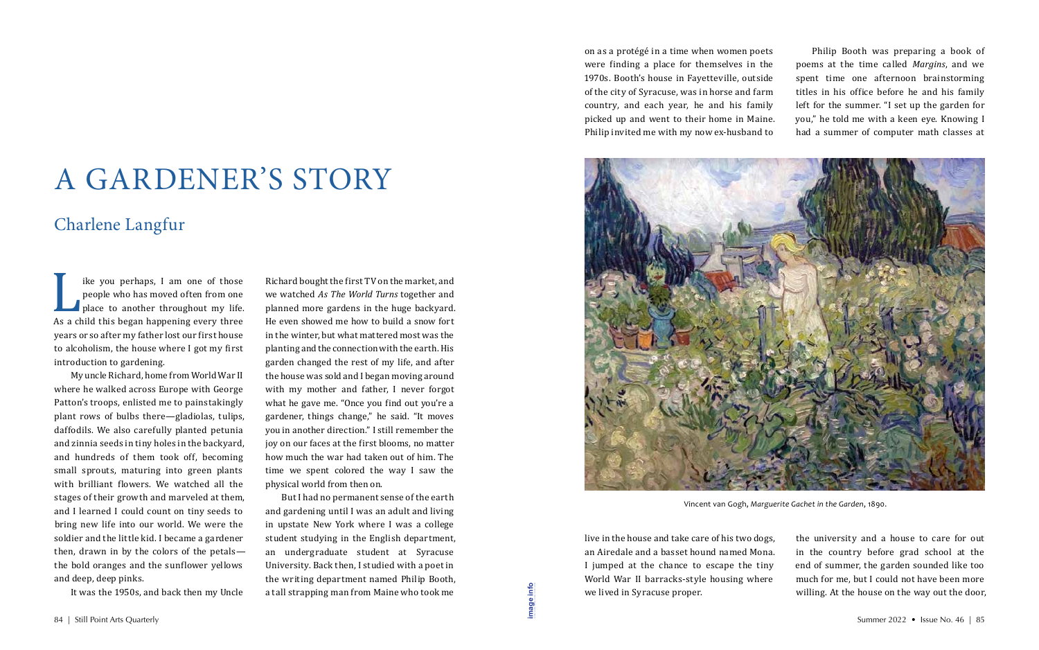I am one of those<br>people who has moved often from one<br>place to another throughout my life.<br>As a child this began happening every three<br>vears or so after my father lost our first house people who has moved often from one place to another throughout my life. As a child this began happening every three years or so after my father lost our first house to alcoholism, the house where I got my first introduction to gardening.

My uncle Richard, home from World War II where he walked across Europe with George Patton's troops, enlisted me to painstakingly plant rows of bulbs there—gladiolas, tulips, daffodils. We also carefully planted petunia and zinnia seeds in tiny holes in the backyard, and hundreds of them took off, becoming small sprouts, maturing into green plants with brilliant flowers. We watched all the stages of their growth and marveled at them, and I learned I could count on tiny seeds to bring new life into our world. We were the soldier and the little kid. I became a gardener then, drawn in by the colors of the petals the bold oranges and the sunflower yellows and deep, deep pinks.

It was the 1950s, and back then my Uncle

live in the house and take care of his two dogs, an Airedale and a basset hound named Mona. I jumped at the chance to escape the tiny World War II barracks-style housing where we lived in Syracuse proper. 84 | Still Point Arts Quarterly Summer 2022 • Issue No. 46 | 85<br>84 | Still Point Arts Quarterly Summer 2022 • Issue No. 46 | 85

Richard bought the first TV on the market, and we watched *As The World Turns* together and planned more gardens in the huge backyard. He even showed me how to build a snow fort in the winter, but what mattered most was the planting and the connection with the earth. His garden changed the rest of my life, and after the house was sold and I began moving around with my mother and father, I never forgot what he gave me. "Once you find out you're a gardener, things change," he said. "It moves you in another direction." I still remember the joy on our faces at the first blooms, no matter how much the war had taken out of him. The time we spent colored the way I saw the physical world from then on.

But I had no permanent sense of the earth and gardening until I was an adult and living in upstate New York where I was a college student studying in the English department, an undergraduate student at Syracuse University. Back then, I studied with a poet in the writing department named Philip Booth, a tall strapping man from Maine who took me

on as a protégé in a time when women poets were finding a place for themselves in the 1970s. Booth's house in Fayetteville, outside of the city of Syracuse, was in horse and farm country, and each year, he and his family picked up and went to their home in Maine. Philip invited me with my now ex-husband to

Philip Booth was preparing a book of poems at the time called *Margins*, and we spent time one afternoon brainstorming titles in his office before he and his family left for the summer. "I set up the garden for you," he told me with a keen eye. Knowing I had a summer of computer math classes at

the university and a house to care for out in the country before grad school at the end of summer, the garden sounded like too much for me, but I could not have been more willing. At the house on the way out the door,

## A GARDENER'S STORY

## Charlene Langfur

**[image info](http://www.shantiarts.co/SPAQ/SPAQ46/files/SPAQ46_SUM22_DIGITAL_IMAGECREDITS.pdf)**



Vincent van Gogh, *Marguerite Gachet in the Garden*, 1890.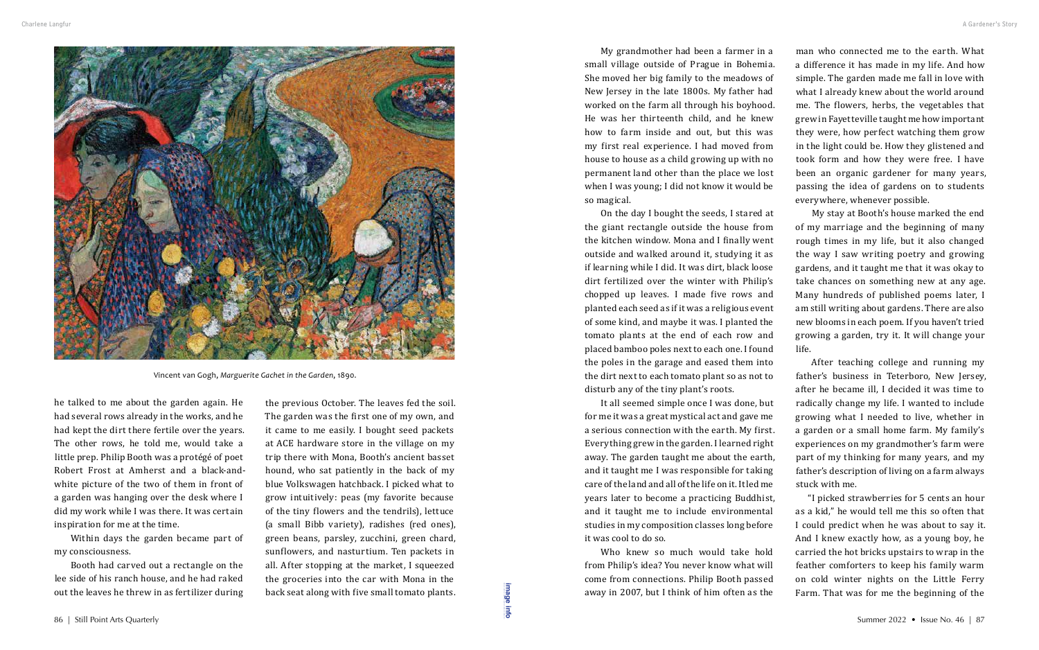he talked to me about the garden again. He had several rows already in the works, and he had kept the dirt there fertile over the years. The other rows, he told me, would take a little prep. Philip Booth was a protégé of poet Robert Frost at Amherst and a black-andwhite picture of the two of them in front of a garden was hanging over the desk where I did my work while I was there. It was certain inspiration for me at the time.

Within days the garden became part of my consciousness.

Booth had carved out a rectangle on the lee side of his ranch house, and he had raked out the leaves he threw in as fertilizer during

the previous October. The leaves fed the soil. The garden was the first one of my own, and it came to me easily. I bought seed packets at ACE hardware store in the village on my trip there with Mona, Booth's ancient basset hound, who sat patiently in the back of my blue Volkswagen hatchback. I picked what to grow intuitively: peas (my favorite because of the tiny flowers and the tendrils), lettuce (a small Bibb variety), radishes (red ones), green beans, parsley, zucchini, green chard, sunflowers, and nasturtium. Ten packets in all. After stopping at the market, I squeezed the groceries into the car with Mona in the back seat along with five small tomato plants.

Who knew so much would take hold from Philip's idea? You never know what will come from connections. Philip Booth passed away in 2007, but I think of him often as the 86 | Still Point Arts Quarterly Summer 2022 • Issue No. 46 | 87<br>
86 | Still Point Arts Quarterly Summer 2022 • Issue No. 46 | 87<br>
86 | Still Point Arts Quarterly Summer 2022 • Issue No. 46 | 87

My grandmother had been a farmer in a small village outside of Prague in Bohemia. She moved her big family to the meadows of New Jersey in the late 1800s. My father had worked on the farm all through his boyhood. He was her thirteenth child, and he knew how to farm inside and out, but this was my first real experience. I had moved from house to house as a child growing up with no permanent land other than the place we lost when I was young; I did not know it would be so magical.

On the day I bought the seeds, I stared at the giant rectangle outside the house from the kitchen window. Mona and I finally went outside and walked around it, studying it as if learning while I did. It was dirt, black loose dirt fertilized over the winter with Philip's chopped up leaves. I made five rows and planted each seed as if it was a religious event of some kind, and maybe it was. I planted the tomato plants at the end of each row and placed bamboo poles next to each one. I found the poles in the garage and eased them into the dirt next to each tomato plant so as not to disturb any of the tiny plant's roots.

It all seemed simple once I was done, but for me it was a great mystical act and gave me a serious connection with the earth. My first. Everything grew in the garden. I learned right away. The garden taught me about the earth, and it taught me I was responsible for taking care of the land and all of the life on it. It led me years later to become a practicing Buddhist, and it taught me to include environmental studies in my composition classes long before it was cool to do so.

man who connected me to the earth. What a difference it has made in my life. And how simple. The garden made me fall in love with what I already knew about the world around me. The flowers, herbs, the vegetables that grew in Fayetteville taught me how important they were, how perfect watching them grow in the light could be. How they glistened and took form and how they were free. I have been an organic gardener for many years, passing the idea of gardens on to students everywhere, whenever possible.

My stay at Booth's house marked the end of my marriage and the beginning of many rough times in my life, but it also changed the way I saw writing poetry and growing gardens, and it taught me that it was okay to take chances on something new at any age. Many hundreds of published poems later, I am still writing about gardens. There are also new blooms in each poem. If you haven't tried growing a garden, try it. It will change your

life.

After teaching college and running my father's business in Teterboro, New Jersey, after he became ill, I decided it was time to radically change my life. I wanted to include growing what I needed to live, whether in a garden or a small home farm. My family's experiences on my grandmother's farm were part of my thinking for many years, and my father's description of living on a farm always stuck with me.

"I picked strawberries for 5 cents an hour as a kid," he would tell me this so often that I could predict when he was about to say it. And I knew exactly how, as a young boy, he carried the hot bricks upstairs to wrap in the feather comforters to keep his family warm on cold winter nights on the Little Ferry Farm. That was for me the beginning of the

**[image info](http://www.shantiarts.co/SPAQ/SPAQ46/files/SPAQ46_SUM22_DIGITAL_IMAGECREDITS.pdf)**



Vincent van Gogh, *Marguerite Gachet in the Garden*, 1890.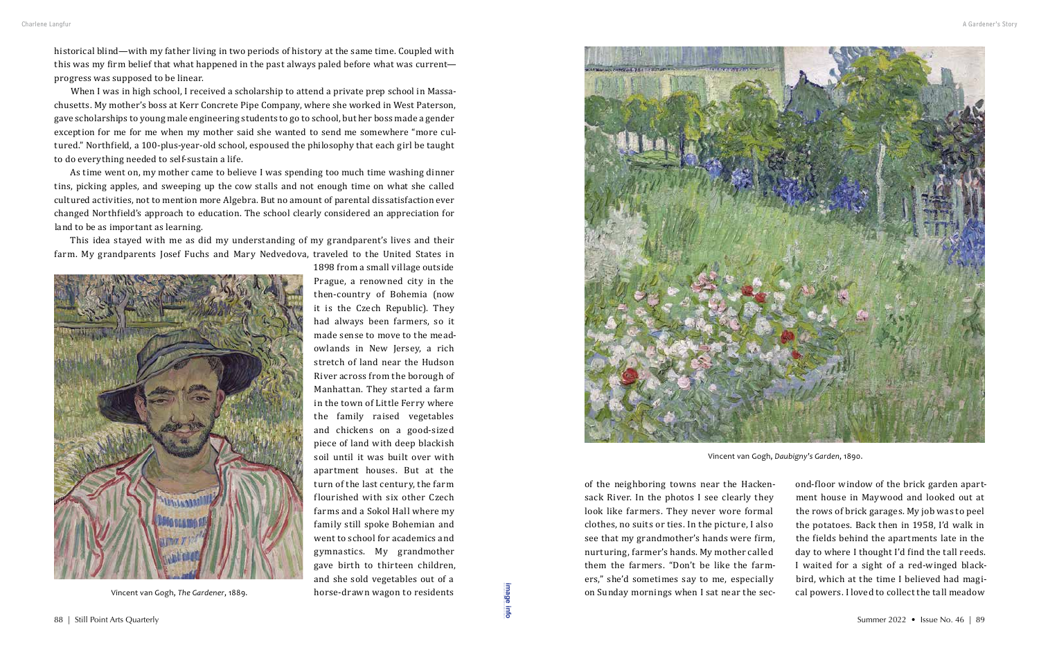historical blind—with my father living in two periods of history at the same time. Coupled with this was my firm belief that what happened in the past always paled before what was current progress was supposed to be linear.

When I was in high school, I received a scholarship to attend a private prep school in Massachusetts. My mother's boss at Kerr Concrete Pipe Company, where she worked in West Paterson, gave scholarships to young male engineering students to go to school, but her boss made a gender exception for me for me when my mother said she wanted to send me somewhere "more cultured." Northfield, a 100-plus-year-old school, espoused the philosophy that each girl be taught to do everything needed to self-sustain a life.

As time went on, my mother came to believe I was spending too much time washing dinner tins, picking apples, and sweeping up the cow stalls and not enough time on what she called cultured activities, not to mention more Algebra. But no amount of parental dissatisfaction ever changed Northfield's approach to education. The school clearly considered an appreciation for land to be as important as learning.

of the neighboring towns near the Hackensack River. In the photos I see clearly they look like farmers. They never wore formal clothes, no suits or ties. In the picture, I also see that my grandmother's hands were firm, nurturing, farmer's hands. My mother called them the farmers. "Don't be like the farmers," she'd sometimes say to me, especially on Sunday mornings when I sat near the sec-Vincent van Gogh, The Gardener, 1889.<br>
88 | Still Point Arts Quarterly Summer 2022 • Issue No. 46 | 89<br>
88 | Still Point Arts Quarterly Summer 2022 • Issue No. 46 | 89

This idea stayed with me as did my understanding of my grandparent's lives and their farm. My grandparents Josef Fuchs and Mary Nedvedova, traveled to the United States in

1898 from a small village outside



Prague, a renowned city in the then-country of Bohemia (now it is the Czech Republic). They had always been farmers, so it made sense to move to the meadowlands in New Jersey, a rich stretch of land near the Hudson River across from the borough of Manhattan. They started a farm in the town of Little Ferry where the family raised vegetables and chickens on a good-sized piece of land with deep blackish soil until it was built over with apartment houses. But at the turn of the last century, the farm flourished with six other Czech farms and a Sokol Hall where my family still spoke Bohemian and went to school for academics and gymnastics. My grandmother gave birth to thirteen children, and she sold vegetables out of a horse-drawn wagon to residents

ond-floor window of the brick garden apartment house in Maywood and looked out at the rows of brick garages. My job was to peel the potatoes. Back then in 1958, I'd walk in the fields behind the apartments late in the day to where I thought I'd find the tall reeds. I waited for a sight of a red-winged blackbird, which at the time I believed had magical powers. I loved to collect the tall meadow



Vincent van Gogh, *The Gardener*, 1889.

Vincent van Gogh, *Daubigny's Garden*, 1890.